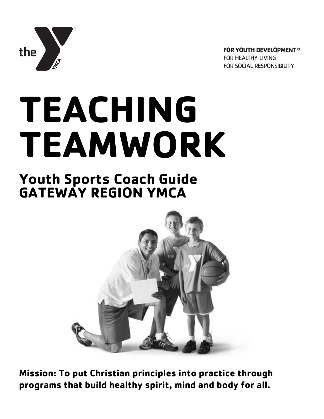

**FOR YOUTH DEVELOPMENT®** FOR HEALTHY LIVING FOR SOCIAL RESPONSIBILITY

# **TEACHING TEAMWORK**

## **Youth Sports Coach Guide GATEWAY REGION YMCA**



**Mission: To put Christian principles into practice through programs that build healthy spirit, mind and body for all.**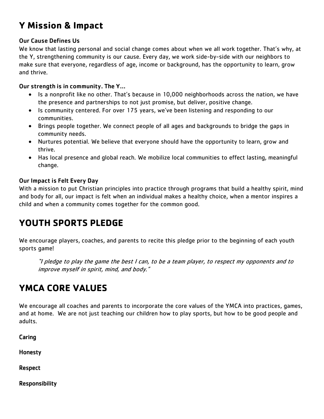## **Y Mission & Impact**

#### Our Cause Defines Us

We know that lasting personal and social change comes about when we all work together. That's why, at the Y, strengthening community is our cause. Every day, we work side-by-side with our neighbors to make sure that everyone, regardless of age, income or background, has the opportunity to learn, grow and thrive.

#### Our strength is in community. The Y…

- Is a nonprofit like no other. That's because in 10,000 neighborhoods across the nation, we have the presence and partnerships to not just promise, but deliver, positive change.
- Is community centered. For over 175 years, we've been listening and responding to our communities.
- Brings people together. We connect people of all ages and backgrounds to bridge the gaps in community needs.
- Nurtures potential. We believe that everyone should have the opportunity to learn, grow and thrive.
- Has local presence and global reach. We mobilize local communities to effect lasting, meaningful change.

#### Our Impact is Felt Every Day

With a mission to put Christian principles into practice through programs that build a healthy spirit, mind and body for all, our impact is felt when an individual makes a healthy choice, when a mentor inspires a child and when a community comes together for the common good.

#### **YOUTH SPORTS PLEDGE**

We encourage players, coaches, and parents to recite this pledge prior to the beginning of each youth sports game!

"I pledge to play the game the best I can, to be a team player, to respect my opponents and to improve myself in spirit, mind, and body."

#### **YMCA CORE VALUES**

We encourage all coaches and parents to incorporate the core values of the YMCA into practices, games, and at home. We are not just teaching our children how to play sports, but how to be good people and adults.

Caring

Honesty

Respect

Responsibility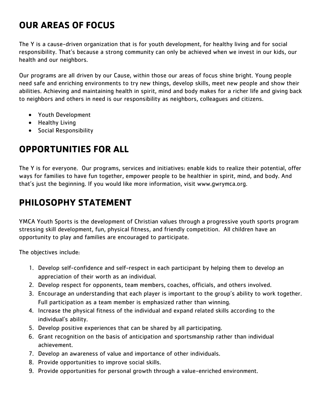## **OUR AREAS OF FOCUS**

The Y is a cause-driven organization that is for youth development, for healthy living and for social responsibility. That's because a strong community can only be achieved when we invest in our kids, our health and our neighbors.

Our programs are all driven by our Cause, within those our areas of focus shine bright. Young people need safe and enriching environments to try new things, develop skills, meet new people and show their abilities. Achieving and maintaining health in spirit, mind and body makes for a richer life and giving back to neighbors and others in need is our responsibility as neighbors, colleagues and citizens.

- Youth Development
- Healthy Living
- **•** Social Responsibility

## **OPPORTUNITIES FOR ALL**

The Y is for everyone. Our programs, services and initiatives: enable kids to realize their potential, offer ways for families to have fun together, empower people to be healthier in spirit, mind, and body. And that's just the beginning. If you would like more information, visit [www.gwrymca.org.](http://www.gwrymca.org/)

## **PHILOSOPHY STATEMENT**

YMCA Youth Sports is the development of Christian values through a progressive youth sports program stressing skill development, fun, physical fitness, and friendly competition. All children have an opportunity to play and families are encouraged to participate.

The objectives include:

- 1. Develop self-confidence and self-respect in each participant by helping them to develop an appreciation of their worth as an individual.
- 2. Develop respect for opponents, team members, coaches, officials, and others involved.
- 3. Encourage an understanding that each player is important to the group's ability to work together. Full participation as a team member is emphasized rather than winning.
- 4. Increase the physical fitness of the individual and expand related skills according to the individual's ability.
- 5. Develop positive experiences that can be shared by all participating.
- 6. Grant recognition on the basis of anticipation and sportsmanship rather than individual achievement.
- 7. Develop an awareness of value and importance of other individuals.
- 8. Provide opportunities to improve social skills.
- 9. Provide opportunities for personal growth through a value-enriched environment.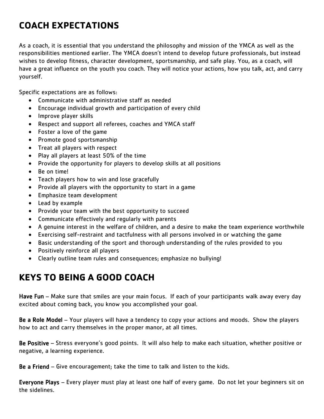## **COACH EXPECTATIONS**

As a coach, it is essential that you understand the philosophy and mission of the YMCA as well as the responsibilities mentioned earlier. The YMCA doesn't intend to develop future professionals, but instead wishes to develop fitness, character development, sportsmanship, and safe play. You, as a coach, will have a great influence on the youth you coach. They will notice your actions, how you talk, act, and carry yourself.

Specific expectations are as follows:

- Communicate with administrative staff as needed
- Encourage individual growth and participation of every child
- Improve player skills
- Respect and support all referees, coaches and YMCA staff
- Foster a love of the game
- Promote good sportsmanship
- Treat all players with respect
- Play all players at least 50% of the time
- Provide the opportunity for players to develop skills at all positions
- Be on time!
- Teach players how to win and lose gracefully
- Provide all players with the opportunity to start in a game
- **•** Emphasize team development
- Lead by example
- Provide your team with the best opportunity to succeed
- Communicate effectively and regularly with parents
- A genuine interest in the welfare of children, and a desire to make the team experience worthwhile
- Exercising self-restraint and tactfulness with all persons involved in or watching the game
- Basic understanding of the sport and thorough understanding of the rules provided to you
- Positively reinforce all players
- Clearly outline team rules and consequences; emphasize no bullying!

## **KEYS TO BEING A GOOD COACH**

Have Fun – Make sure that smiles are your main focus. If each of your participants walk away every day excited about coming back, you know you accomplished your goal.

Be a Role Model – Your players will have a tendency to copy your actions and moods. Show the players how to act and carry themselves in the proper manor, at all times.

Be Positive – Stress everyone's good points. It will also help to make each situation, whether positive or negative, a learning experience.

Be a Friend – Give encouragement; take the time to talk and listen to the kids.

Everyone Plays – Every player must play at least one half of every game. Do not let your beginners sit on the sidelines.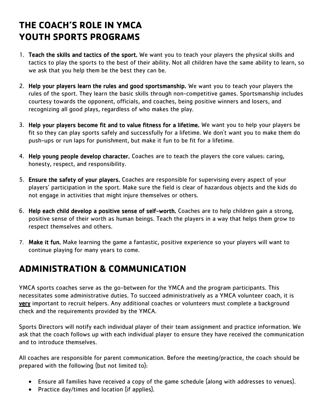## **THE COACH'S ROLE IN YMCA YOUTH SPORTS PROGRAMS**

- 1. Teach the skills and tactics of the sport. We want you to teach your players the physical skills and tactics to play the sports to the best of their ability. Not all children have the same ability to learn, so we ask that you help them be the best they can be.
- 2. Help your players learn the rules and good sportsmanship. We want you to teach your players the rules of the sport. They learn the basic skills through non-competitive games. Sportsmanship includes courtesy towards the opponent, officials, and coaches, being positive winners and losers, and recognizing all good plays, regardless of who makes the play.
- 3. Help your players become fit and to value fitness for a lifetime. We want you to help your players be fit so they can play sports safely and successfully for a lifetime. We don't want you to make them do push-ups or run laps for punishment, but make it fun to be fit for a lifetime.
- 4. Help young people develop character. Coaches are to teach the players the core values: caring, honesty, respect, and responsibility.
- 5. Ensure the safety of your players. Coaches are responsible for supervising every aspect of your players' participation in the sport. Make sure the field is clear of hazardous objects and the kids do not engage in activities that might injure themselves or others.
- 6. Help each child develop a positive sense of self-worth. Coaches are to help children gain a strong, positive sense of their worth as human beings. Teach the players in a way that helps them grow to respect themselves and others.
- 7. Make it fun. Make learning the game a fantastic, positive experience so your players will want to continue playing for many years to come.

#### **ADMINISTRATION & COMMUNICATION**

YMCA sports coaches serve as the go-between for the YMCA and the program participants. This necessitates some administrative duties. To succeed administratively as a YMCA volunteer coach, it is very important to recruit helpers. Any additional coaches or volunteers must complete a background check and the requirements provided by the YMCA.

Sports Directors will notify each individual player of their team assignment and practice information. We ask that the coach follows up with each individual player to ensure they have received the communication and to introduce themselves.

All coaches are responsible for parent communication. Before the meeting/practice, the coach should be prepared with the following (but not limited to):

- Ensure all families have received a copy of the game schedule (along with addresses to venues).
- Practice day/times and location (if applies).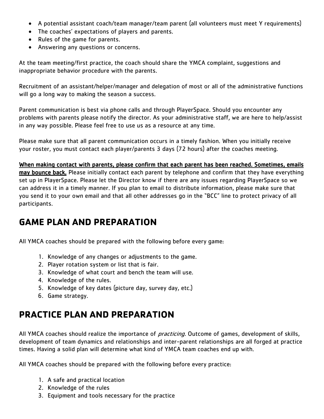- A potential assistant coach/team manager/team parent (all volunteers must meet Y requirements)
- The coaches' expectations of players and parents.
- Rules of the game for parents.
- Answering any questions or concerns.

At the team meeting/first practice, the coach should share the YMCA complaint, suggestions and inappropriate behavior procedure with the parents.

Recruitment of an assistant/helper/manager and delegation of most or all of the administrative functions will go a long way to making the season a success.

Parent communication is best via phone calls and through PlayerSpace. Should you encounter any problems with parents please notify the director. As your administrative staff, we are here to help/assist in any way possible. Please feel free to use us as a resource at any time.

Please make sure that all parent communication occurs in a timely fashion. When you initially receive your roster, you must contact each player/parents 3 days (72 hours) after the coaches meeting.

When making contact with parents, please confirm that each parent has been reached. Sometimes, emails may bounce back. Please initially contact each parent by telephone and confirm that they have everything set up in PlayerSpace. Please let the Director know if there are any issues regarding PlayerSpace so we can address it in a timely manner. If you plan to email to distribute information, please make sure that you send it to your own email and that all other addresses go in the "BCC" line to protect privacy of all participants.

#### **GAME PLAN AND PREPARATION**

All YMCA coaches should be prepared with the following before every game:

- 1. Knowledge of any changes or adjustments to the game.
- 2. Player rotation system or list that is fair.
- 3. Knowledge of what court and bench the team will use.
- 4. Knowledge of the rules.
- 5. Knowledge of key dates (picture day, survey day, etc.)
- 6. Game strategy.

## **PRACTICE PLAN AND PREPARATION**

All YMCA coaches should realize the importance of *practicing*. Outcome of games, development of skills, development of team dynamics and relationships and inter-parent relationships are all forged at practice times. Having a solid plan will determine what kind of YMCA team coaches end up with.

All YMCA coaches should be prepared with the following before every practice:

- 1. A safe and practical location
- 2. Knowledge of the rules
- 3. Equipment and tools necessary for the practice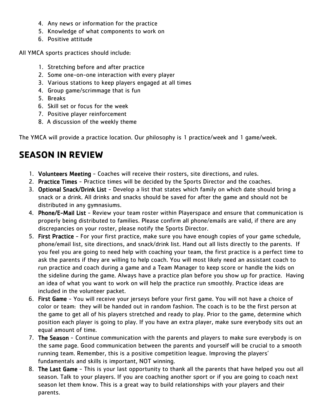- 4. Any news or information for the practice
- 5. Knowledge of what components to work on
- 6. Positive attitude

All YMCA sports practices should include:

- 1. Stretching before and after practice
- 2. Some one-on-one interaction with every player
- 3. Various stations to keep players engaged at all times
- 4. Group game/scrimmage that is fun
- 5. Breaks
- 6. Skill set or focus for the week
- 7. Positive player reinforcement
- 8. A discussion of the weekly theme

The YMCA will provide a practice location. Our philosophy is 1 practice/week and 1 game/week.

#### **SEASON IN REVIEW**

- 1. Volunteers Meeting Coaches will receive their rosters, site directions, and rules.
- 2. Practice Times Practice times will be decided by the Sports Director and the coaches.
- 3. Optional Snack/Drink List Develop a list that states which family on which date should bring a snack or a drink. All drinks and snacks should be saved for after the game and should not be distributed in any gymnasiums.
- 4. Phone/E-Mail List Review your team roster within Playerspace and ensure that communication is properly being distributed to families. Please confirm all phone/emails are valid, if there are any discrepancies on your roster, please notify the Sports Director.
- 5. First Practice For your first practice, make sure you have enough copies of your game schedule, phone/email list, site directions, and snack/drink list. Hand out all lists directly to the parents. If you feel you are going to need help with coaching your team, the first practice is a perfect time to ask the parents if they are willing to help coach. You will most likely need an assistant coach to run practice and coach during a game and a Team Manager to keep score or handle the kids on the sideline during the game. Always have a practice plan before you show up for practice. Having an idea of what you want to work on will help the practice run smoothly. Practice ideas are included in the volunteer packet.
- 6. First Game You will receive your jerseys before your first game. You will not have a choice of color or team: they will be handed out in random fashion. The coach is to be the first person at the game to get all of his players stretched and ready to play. Prior to the game, determine which position each player is going to play. If you have an extra player, make sure everybody sits out an equal amount of time.
- 7. The Season Continue communication with the parents and players to make sure everybody is on the same page. Good communication between the parents and yourself will be crucial to a smooth running team. Remember, this is a positive competition league. Improving the players' fundamentals and skills is important, NOT winning.
- 8. The Last Game This is your last opportunity to thank all the parents that have helped you out all season. Talk to your players. If you are coaching another sport or if you are going to coach next season let them know. This is a great way to build relationships with your players and their parents.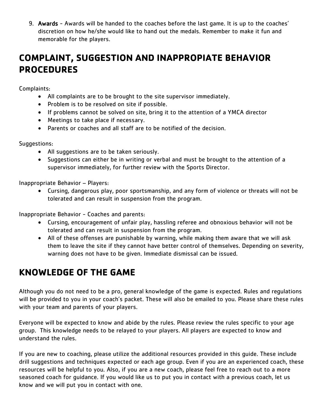9. Awards - Awards will be handed to the coaches before the last game. It is up to the coaches' discretion on how he/she would like to hand out the medals. Remember to make it fun and memorable for the players.

## **COMPLAINT, SUGGESTION AND INAPPROPIATE BEHAVIOR PROCEDURES**

Complaints:

- All complaints are to be brought to the site supervisor immediately.
- Problem is to be resolved on site if possible.
- If problems cannot be solved on site, bring it to the attention of a YMCA director
- Meetings to take place if necessary.
- Parents or coaches and all staff are to be notified of the decision.

Suggestions:

- All suggestions are to be taken seriously.
- Suggestions can either be in writing or verbal and must be brought to the attention of a supervisor immediately, for further review with the Sports Director.

Inappropriate Behavior – Players:

 Cursing, dangerous play, poor sportsmanship, and any form of violence or threats will not be tolerated and can result in suspension from the program.

Inappropriate Behavior - Coaches and parents:

- Cursing, encouragement of unfair play, hassling referee and obnoxious behavior will not be tolerated and can result in suspension from the program.
- All of these offenses are punishable by warning, while making them aware that we will ask them to leave the site if they cannot have better control of themselves. Depending on severity, warning does not have to be given. Immediate dismissal can be issued.

#### **KNOWLEDGE OF THE GAME**

Although you do not need to be a pro, general knowledge of the game is expected. Rules and regulations will be provided to you in your coach's packet. These will also be emailed to you. Please share these rules with your team and parents of your players.

Everyone will be expected to know and abide by the rules. Please review the rules specific to your age group. This knowledge needs to be relayed to your players. All players are expected to know and understand the rules.

If you are new to coaching, please utilize the additional resources provided in this guide. These include drill suggestions and techniques expected or each age group. Even if you are an experienced coach, these resources will be helpful to you. Also, if you are a new coach, please feel free to reach out to a more seasoned coach for guidance. If you would like us to put you in contact with a previous coach, let us know and we will put you in contact with one.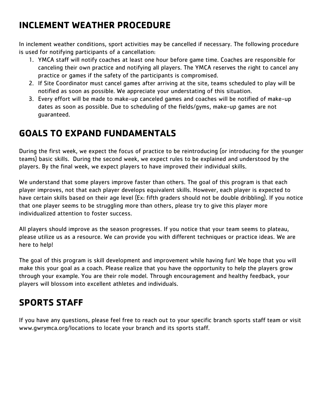## **INCLEMENT WEATHER PROCEDURE**

In inclement weather conditions, sport activities may be cancelled if necessary. The following procedure is used for notifying participants of a cancellation:

- 1. YMCA staff will notify coaches at least one hour before game time. Coaches are responsible for canceling their own practice and notifying all players. The YMCA reserves the right to cancel any practice or games if the safety of the participants is compromised.
- 2. If Site Coordinator must cancel games after arriving at the site, teams scheduled to play will be notified as soon as possible. We appreciate your understating of this situation.
- 3. Every effort will be made to make-up canceled games and coaches will be notified of make-up dates as soon as possible. Due to scheduling of the fields/gyms, make-up games are not guaranteed.

## **GOALS TO EXPAND FUNDAMENTALS**

During the first week, we expect the focus of practice to be reintroducing (or introducing for the younger teams) basic skills. During the second week, we expect rules to be explained and understood by the players. By the final week, we expect players to have improved their individual skills.

We understand that some players improve faster than others. The goal of this program is that each player improves, not that each player develops equivalent skills. However, each player is expected to have certain skills based on their age level (Ex: fifth graders should not be double dribbling). If you notice that one player seems to be struggling more than others, please try to give this player more individualized attention to foster success.

All players should improve as the season progresses. If you notice that your team seems to plateau, please utilize us as a resource. We can provide you with different techniques or practice ideas. We are here to help!

The goal of this program is skill development and improvement while having fun! We hope that you will make this your goal as a coach. Please realize that you have the opportunity to help the players grow through your example. You are their role model. Through encouragement and healthy feedback, your players will blossom into excellent athletes and individuals.

## **SPORTS STAFF**

If you have any questions, please feel free to reach out to your specific branch sports staff team or visit [www.gwrymca.org/locations](http://www.gwrymca.org/locations) to locate your branch and its sports staff.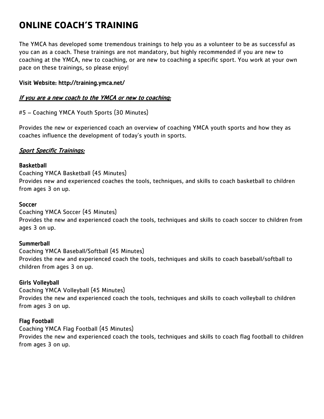## **ONLINE COACH'S TRAINING**

The YMCA has developed some tremendous trainings to help you as a volunteer to be as successful as you can as a coach. These trainings are not mandatory, but highly recommended if you are new to coaching at the YMCA, new to coaching, or are new to coaching a specific sport. You work at your own pace on these trainings, so please enjoy!

#### Visit Website:<http://training.ymca.net/>

#### If you are a new coach to the YMCA or new to coaching:

#5 – Coaching YMCA Youth Sports (30 Minutes)

Provides the new or experienced coach an overview of coaching YMCA youth sports and how they as coaches influence the development of today's youth in sports.

#### Sport Specific Trainings:

#### **Basketball**

Coaching YMCA Basketball (45 Minutes) Provides new and experienced coaches the tools, techniques, and skills to coach basketball to children from ages 3 on up.

#### Soccer

Coaching YMCA Soccer (45 Minutes) Provides the new and experienced coach the tools, techniques and skills to coach soccer to children from ages 3 on up.

#### **Summerball**

Coaching YMCA Baseball/Softball (45 Minutes) Provides the new and experienced coach the tools, techniques and skills to coach baseball/softball to children from ages 3 on up.

#### Girls Volleyball

Coaching YMCA Volleyball (45 Minutes) Provides the new and experienced coach the tools, techniques and skills to coach volleyball to children from ages 3 on up.

#### Flag Football

Coaching YMCA Flag Football (45 Minutes) Provides the new and experienced coach the tools, techniques and skills to coach flag football to children from ages 3 on up.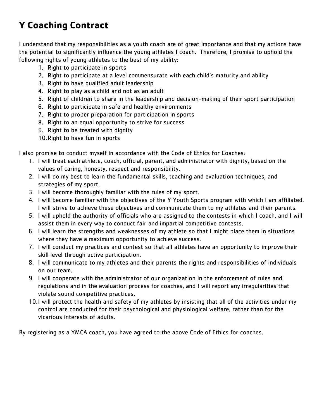## **Y Coaching Contract**

I understand that my responsibilities as a youth coach are of great importance and that my actions have the potential to significantly influence the young athletes I coach. Therefore, I promise to uphold the following rights of young athletes to the best of my ability:

- 1. Right to participate in sports
- 2. Right to participate at a level commensurate with each child's maturity and ability
- 3. Right to have qualified adult leadership
- 4. Right to play as a child and not as an adult
- 5. Right of children to share in the leadership and decision-making of their sport participation
- 6. Right to participate in safe and healthy environments
- 7. Right to proper preparation for participation in sports
- 8. Right to an equal opportunity to strive for success
- 9. Right to be treated with dignity
- 10.Right to have fun in sports

I also promise to conduct myself in accordance with the Code of Ethics for Coaches:

- 1. I will treat each athlete, coach, official, parent, and administrator with dignity, based on the values of caring, honesty, respect and responsibility.
- 2. I will do my best to learn the fundamental skills, teaching and evaluation techniques, and strategies of my sport.
- 3. I will become thoroughly familiar with the rules of my sport.
- 4. I will become familiar with the objectives of the Y Youth Sports program with which I am affiliated. I will strive to achieve these objectives and communicate them to my athletes and their parents.
- 5. I will uphold the authority of officials who are assigned to the contests in which I coach, and I will assist them in every way to conduct fair and impartial competitive contests.
- 6. I will learn the strengths and weaknesses of my athlete so that I might place them in situations where they have a maximum opportunity to achieve success.
- 7. I will conduct my practices and contest so that all athletes have an opportunity to improve their skill level through active participation.
- 8. I will communicate to my athletes and their parents the rights and responsibilities of individuals on our team.
- 9. I will cooperate with the administrator of our organization in the enforcement of rules and regulations and in the evaluation process for coaches, and I will report any irregularities that violate sound competitive practices.
- 10.I will protect the health and safety of my athletes by insisting that all of the activities under my control are conducted for their psychological and physiological welfare, rather than for the vicarious interests of adults.

By registering as a YMCA coach, you have agreed to the above Code of Ethics for coaches.